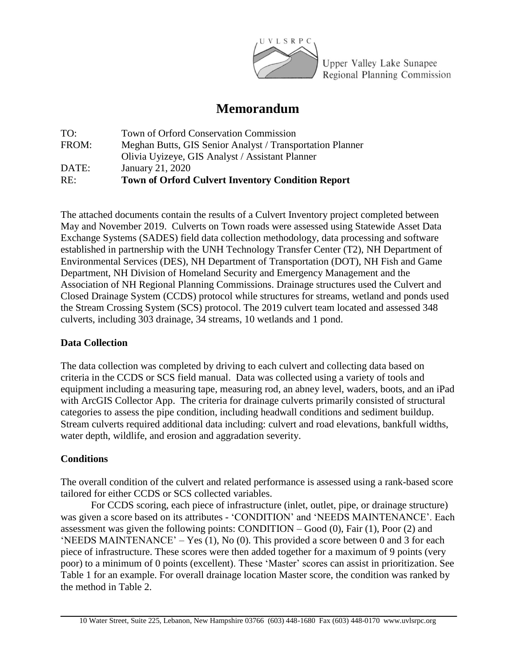

Upper Valley Lake Sunapee Regional Planning Commission

# **Memorandum**

| Town of Orford Conservation Commission                    |
|-----------------------------------------------------------|
| Meghan Butts, GIS Senior Analyst / Transportation Planner |
| Olivia Uyizeye, GIS Analyst / Assistant Planner           |
| January 21, 2020                                          |
| <b>Town of Orford Culvert Inventory Condition Report</b>  |
|                                                           |

The attached documents contain the results of a Culvert Inventory project completed between May and November 2019. Culverts on Town roads were assessed using Statewide Asset Data Exchange Systems (SADES) field data collection methodology, data processing and software established in partnership with the UNH Technology Transfer Center (T2), NH Department of Environmental Services (DES), NH Department of Transportation (DOT), NH Fish and Game Department, NH Division of Homeland Security and Emergency Management and the Association of NH Regional Planning Commissions. Drainage structures used the Culvert and Closed Drainage System (CCDS) protocol while structures for streams, wetland and ponds used the Stream Crossing System (SCS) protocol. The 2019 culvert team located and assessed 348 culverts, including 303 drainage, 34 streams, 10 wetlands and 1 pond.

## **Data Collection**

The data collection was completed by driving to each culvert and collecting data based on criteria in the CCDS or SCS field manual. Data was collected using a variety of tools and equipment including a measuring tape, measuring rod, an abney level, waders, boots, and an iPad with ArcGIS Collector App. The criteria for drainage culverts primarily consisted of structural categories to assess the pipe condition, including headwall conditions and sediment buildup. Stream culverts required additional data including: culvert and road elevations, bankfull widths, water depth, wildlife, and erosion and aggradation severity.

## **Conditions**

The overall condition of the culvert and related performance is assessed using a rank-based score tailored for either CCDS or SCS collected variables.

For CCDS scoring, each piece of infrastructure (inlet, outlet, pipe, or drainage structure) was given a score based on its attributes - 'CONDITION' and 'NEEDS MAINTENANCE'. Each assessment was given the following points:  $\text{CONDITION} - \text{Good}(0)$ , Fair (1), Poor (2) and 'NEEDS MAINTENANCE' – Yes (1), No (0). This provided a score between 0 and 3 for each piece of infrastructure. These scores were then added together for a maximum of 9 points (very poor) to a minimum of 0 points (excellent). These 'Master' scores can assist in prioritization. See Table 1 for an example. For overall drainage location Master score, the condition was ranked by the method in Table 2.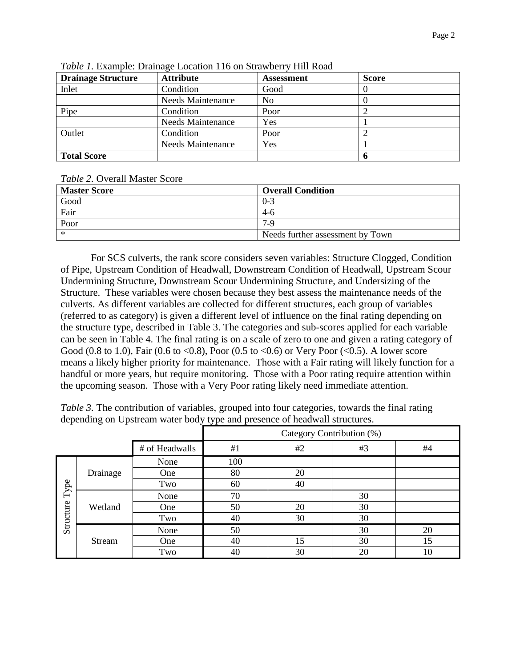| <b>Drainage Structure</b> | <b>Attribute</b>         | <b>Assessment</b> | <b>Score</b> |
|---------------------------|--------------------------|-------------------|--------------|
| Inlet                     | Condition                | Good              |              |
|                           | <b>Needs Maintenance</b> | N <sub>0</sub>    |              |
| Pipe                      | Condition                | Poor              |              |
|                           | <b>Needs Maintenance</b> | Yes               |              |
| Outlet                    | Condition                | Poor              |              |
|                           | <b>Needs Maintenance</b> | Yes               |              |
| <b>Total Score</b>        |                          |                   |              |

*Table 1.* Example: Drainage Location 116 on Strawberry Hill Road

#### *Table 2.* Overall Master Score

| <b>Master Score</b> | <b>Overall Condition</b>         |
|---------------------|----------------------------------|
| Good                | $0 - 3$                          |
| Fair                | -4-6                             |
| Poor                | $7-9$                            |
| $\ast$              | Needs further assessment by Town |

For SCS culverts, the rank score considers seven variables: Structure Clogged, Condition of Pipe, Upstream Condition of Headwall, Downstream Condition of Headwall, Upstream Scour Undermining Structure, Downstream Scour Undermining Structure, and Undersizing of the Structure. These variables were chosen because they best assess the maintenance needs of the culverts. As different variables are collected for different structures, each group of variables (referred to as category) is given a different level of influence on the final rating depending on the structure type, described in Table 3. The categories and sub-scores applied for each variable can be seen in Table 4. The final rating is on a scale of zero to one and given a rating category of Good (0.8 to 1.0), Fair (0.6 to <0.8), Poor (0.5 to <0.6) or Very Poor (<0.5). A lower score means a likely higher priority for maintenance. Those with a Fair rating will likely function for a handful or more years, but require monitoring. Those with a Poor rating require attention within the upcoming season. Those with a Very Poor rating likely need immediate attention.

*Table* 3. The contribution of variables, grouped into four categories, towards the final rating depending on Upstream water body type and presence of headwall structures.

|                   |          |      | Category Contribution (%) |    |    |    |
|-------------------|----------|------|---------------------------|----|----|----|
| # of Headwalls    |          | #1   | #2                        | #3 | #4 |    |
| Type<br>Structure | Drainage | None | 100                       |    |    |    |
|                   |          | One  | 80                        | 20 |    |    |
|                   |          | Two  | 60                        | 40 |    |    |
|                   | Wetland  | None | 70                        |    | 30 |    |
|                   |          | One  | 50                        | 20 | 30 |    |
|                   |          | Two  | 40                        | 30 | 30 |    |
|                   | Stream   | None | 50                        |    | 30 | 20 |
|                   |          | One  | 40                        | 15 | 30 | 15 |
|                   |          | Two  | 40                        | 30 | 20 | 10 |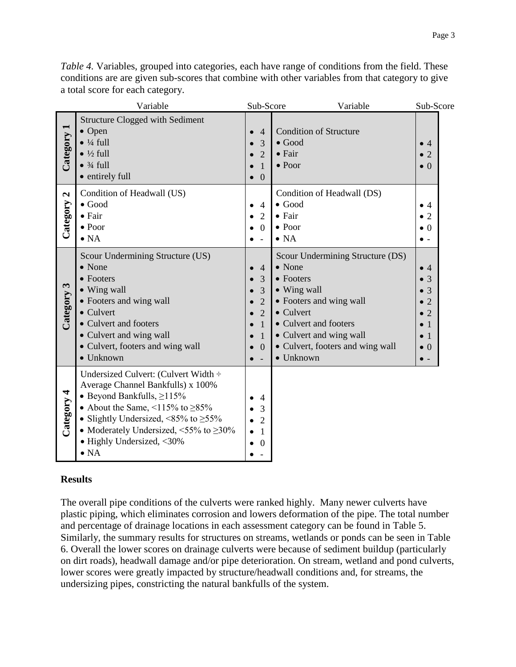|                          | Variable                                                                                                                                                                                                                                                                                                       | Sub-Score                                                                                                      | Variable                                                                                                                                                                                                                    | Sub-Score                                                                                                                                 |
|--------------------------|----------------------------------------------------------------------------------------------------------------------------------------------------------------------------------------------------------------------------------------------------------------------------------------------------------------|----------------------------------------------------------------------------------------------------------------|-----------------------------------------------------------------------------------------------------------------------------------------------------------------------------------------------------------------------------|-------------------------------------------------------------------------------------------------------------------------------------------|
| Category 1               | <b>Structure Clogged with Sediment</b><br>$\bullet$ Open<br>$\bullet$ ¼ full<br>$\bullet$ ½ full<br>$\bullet$ $\frac{3}{4}$ full<br>• entirely full                                                                                                                                                            | $\overline{4}$<br>$\overline{3}$<br>$\overline{2}$<br>$\mathbf{1}$<br>$\overline{0}$                           | <b>Condition of Structure</b><br>$\bullet$ Good<br>$\bullet$ Fair<br>$\bullet$ Poor                                                                                                                                         | $\bullet$ 4<br>$\bullet$ 2<br>$\bullet$ 0                                                                                                 |
| $\mathbf{z}$<br>Category | Condition of Headwall (US)<br>$\bullet$ Good<br>$\bullet$ Fair<br>$\bullet$ Poor<br>$\bullet$ NA                                                                                                                                                                                                               | $\overline{4}$<br>$\overline{2}$<br>$\boldsymbol{0}$                                                           | Condition of Headwall (DS)<br>$\bullet$ Good<br>• Fair<br>$\bullet$ Poor<br>$\bullet$ NA                                                                                                                                    | $\bullet$ 4<br>$\overline{2}$<br>$\bullet$<br>$\bullet$ 0<br>$\bullet$ -                                                                  |
| Category 3               | Scour Undermining Structure (US)<br>• None<br>• Footers<br>• Wing wall<br>• Footers and wing wall<br>• Culvert<br>• Culvert and footers<br>• Culvert and wing wall<br>• Culvert, footers and wing wall<br>$\bullet$ Unknown                                                                                    | $\overline{4}$<br>3<br>3<br>$\overline{2}$<br>$\overline{2}$<br>$\mathbf{1}$<br>$\mathbf{1}$<br>$\overline{0}$ | Scour Undermining Structure (DS)<br>• None<br>• Footers<br>• Wing wall<br>• Footers and wing wall<br>• Culvert<br>• Culvert and footers<br>• Culvert and wing wall<br>• Culvert, footers and wing wall<br>$\bullet$ Unknown | $\bullet$ 4<br>$\bullet$ 3<br>$\overline{3}$<br>$\bullet$ 2<br>$\bullet$ 2<br>$\overline{1}$<br>$\bullet$ 1<br>$\bullet$ 0<br>$\bullet$ - |
| 4<br>Category            | Undersized Culvert: (Culvert Width ÷<br>Average Channel Bankfulls) x 100%<br>• Beyond Bankfulls, $\geq$ 115%<br>• About the Same, $\leq 115\%$ to $\geq 85\%$<br>• Slightly Undersized, <85% to $\geq$ 55%<br>• Moderately Undersized, $\leq 55\%$ to $\geq 30\%$<br>• Highly Undersized, <30%<br>$\bullet$ NA | $\overline{4}$<br>3<br>$\overline{2}$<br>$\mathbf{1}$<br>$\boldsymbol{0}$                                      |                                                                                                                                                                                                                             |                                                                                                                                           |

*Table 4.* Variables, grouped into categories, each have range of conditions from the field. These conditions are are given sub-scores that combine with other variables from that category to give a total score for each category.

## **Results**

The overall pipe conditions of the culverts were ranked highly. Many newer culverts have plastic piping, which eliminates corrosion and lowers deformation of the pipe. The total number and percentage of drainage locations in each assessment category can be found in Table 5. Similarly, the summary results for structures on streams, wetlands or ponds can be seen in Table 6. Overall the lower scores on drainage culverts were because of sediment buildup (particularly on dirt roads), headwall damage and/or pipe deterioration. On stream, wetland and pond culverts, lower scores were greatly impacted by structure/headwall conditions and, for streams, the undersizing pipes, constricting the natural bankfulls of the system.